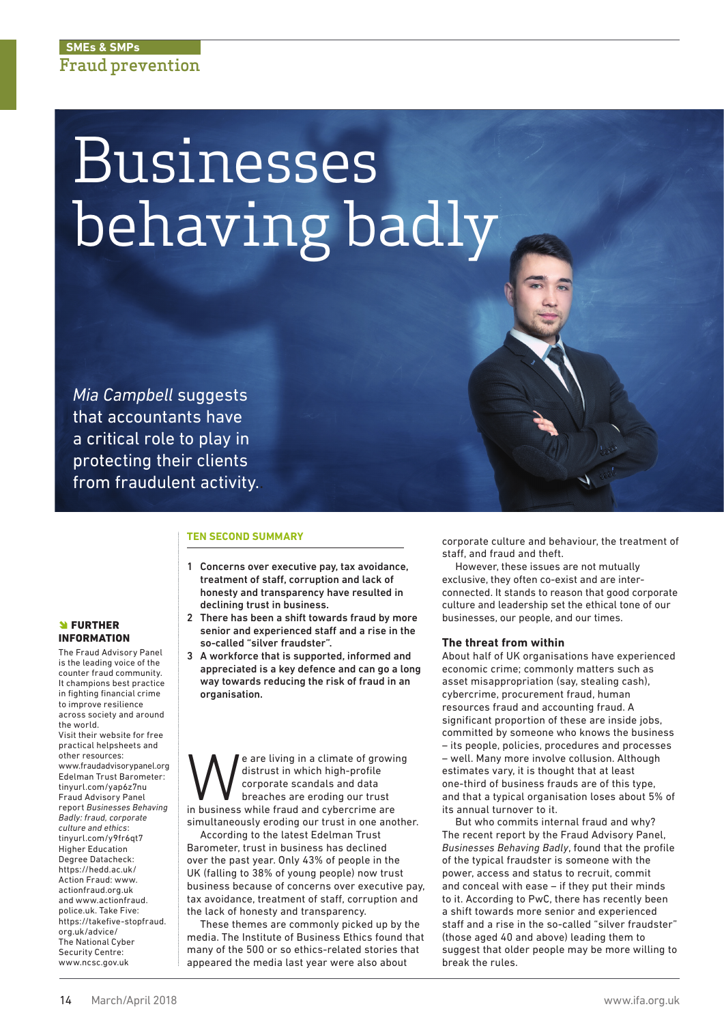# Businesses behaving badly

*Mia Campbell* suggests that accountants have a critical role to play in protecting their clients from fraudulent activity..

### **TEN SECOND SUMMARY**

- 1 Concerns over executive pay, tax avoidance, treatment of staff, corruption and lack of honesty and transparency have resulted in declining trust in business.
- 2 There has been a shift towards fraud by more senior and experienced staff and a rise in the so-called "silver fraudster".
- 3 A workforce that is supported, informed and appreciated is a key defence and can go a long way towards reducing the risk of fraud in an organisation.

We are living in a climate of growing<br>distrust in which high-profile<br>corporate scandals and data<br>in business while fraud and cybercrime are distrust in which high-profile corporate scandals and data breaches are eroding our trust simultaneously eroding our trust in one another.

According to the latest Edelman Trust Barometer, trust in business has declined over the past year. Only 43% of people in the UK (falling to 38% of young people) now trust business because of concerns over executive pay, tax avoidance, treatment of staff, corruption and the lack of honesty and transparency.

These themes are commonly picked up by the media. The Institute of Business Ethics found that many of the 500 or so ethics-related stories that appeared the media last year were also about

corporate culture and behaviour, the treatment of staff, and fraud and theft.

However, these issues are not mutually exclusive, they often co-exist and are interconnected. It stands to reason that good corporate culture and leadership set the ethical tone of our businesses, our people, and our times.

### **The threat from within**

About half of UK organisations have experienced economic crime; commonly matters such as asset misappropriation (say, stealing cash), cybercrime, procurement fraud, human resources fraud and accounting fraud. A significant proportion of these are inside jobs, committed by someone who knows the business – its people, policies, procedures and processes – well. Many more involve collusion. Although estimates vary, it is thought that at least one-third of business frauds are of this type, and that a typical organisation loses about 5% of its annual turnover to it.

But who commits internal fraud and why? The recent report by the Fraud Advisory Panel, *Businesses Behaving Badly*, found that the profile of the typical fraudster is someone with the power, access and status to recruit, commit and conceal with ease – if they put their minds to it. According to PwC, there has recently been a shift towards more senior and experienced staff and a rise in the so-called "silver fraudster" (those aged 40 and above) leading them to suggest that older people may be more willing to break the rules.

## **SI FURTHER** INFORMATION

The Fraud Advisory Panel is the leading voice of the counter fraud community. It champions best practice in fighting financial crime to improve resilience across society and around the world. Visit their website for free practical helpsheets and other resources: www.fraudadvisorypanel.org Edelman Trust Barometer: tinyurl.com/yap6z7nu Fraud Advisory Panel report *Businesses Behaving Badly: fraud, corporate culture and ethics*: tinyurl.com/y9fr6qt7 Higher Education Degree Datacheck: https://hedd.ac.uk/ Action Fraud: www. actionfraud.org.uk and www.actionfraud. police.uk. Take Five: https://takefive-stopfraud. org.uk/advice/ The National Cyber Security Centre: www.ncsc.gov.uk